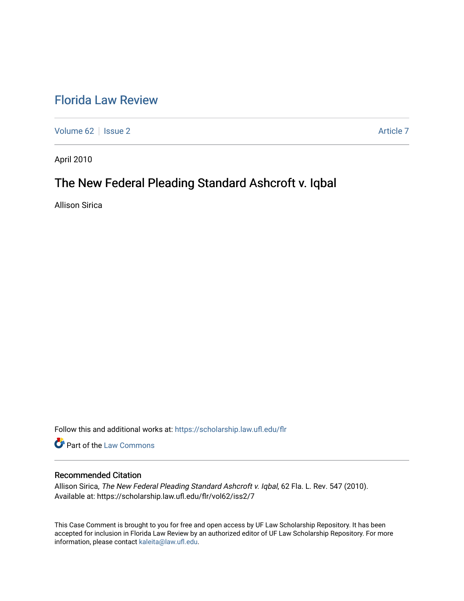## [Florida Law Review](https://scholarship.law.ufl.edu/flr)

[Volume 62](https://scholarship.law.ufl.edu/flr/vol62) | [Issue 2](https://scholarship.law.ufl.edu/flr/vol62/iss2) Article 7

April 2010

# The New Federal Pleading Standard Ashcroft v. Iqbal

Allison Sirica

Follow this and additional works at: [https://scholarship.law.ufl.edu/flr](https://scholarship.law.ufl.edu/flr?utm_source=scholarship.law.ufl.edu%2Fflr%2Fvol62%2Fiss2%2F7&utm_medium=PDF&utm_campaign=PDFCoverPages)

Part of the [Law Commons](http://network.bepress.com/hgg/discipline/578?utm_source=scholarship.law.ufl.edu%2Fflr%2Fvol62%2Fiss2%2F7&utm_medium=PDF&utm_campaign=PDFCoverPages)

## Recommended Citation

Allison Sirica, The New Federal Pleading Standard Ashcroft v. Iqbal, 62 Fla. L. Rev. 547 (2010). Available at: https://scholarship.law.ufl.edu/flr/vol62/iss2/7

This Case Comment is brought to you for free and open access by UF Law Scholarship Repository. It has been accepted for inclusion in Florida Law Review by an authorized editor of UF Law Scholarship Repository. For more information, please contact [kaleita@law.ufl.edu.](mailto:kaleita@law.ufl.edu)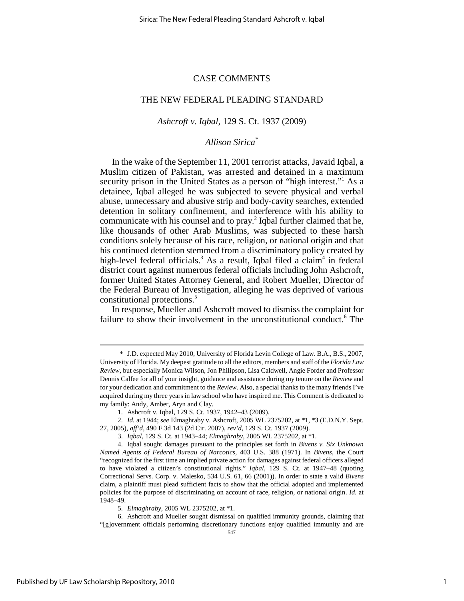### CASE COMMENTS

### THE NEW FEDERAL PLEADING STANDARD

## *Ashcroft v. Iqbal*, 129 S. Ct. 1937 (2009)

## *Allison Sirica\**

In the wake of the September 11, 2001 terrorist attacks, Javaid Iqbal, a Muslim citizen of Pakistan, was arrested and detained in a maximum security prison in the United States as a person of "high interest."<sup>1</sup> As a detainee, Iqbal alleged he was subjected to severe physical and verbal abuse, unnecessary and abusive strip and body-cavity searches, extended detention in solitary confinement, and interference with his ability to communicate with his counsel and to  $\text{pray.}^2$  Iqbal further claimed that he, like thousands of other Arab Muslims, was subjected to these harsh conditions solely because of his race, religion, or national origin and that his continued detention stemmed from a discriminatory policy created by high-level federal officials.<sup>3</sup> As a result, Iqbal filed a claim<sup>4</sup> in federal district court against numerous federal officials including John Ashcroft, former United States Attorney General, and Robert Mueller, Director of the Federal Bureau of Investigation, alleging he was deprived of various constitutional protections.<sup>5</sup>

In response, Mueller and Ashcroft moved to dismiss the complaint for failure to show their involvement in the unconstitutional conduct.<sup>6</sup> The

 <sup>\*</sup> J.D. expected May 2010, University of Florida Levin College of Law. B.A., B.S., 2007, University of Florida. My deepest gratitude to all the editors, members and staff of the *Florida Law Review*, but especially Monica Wilson, Jon Philipson, Lisa Caldwell, Angie Forder and Professor Dennis Calfee for all of your insight, guidance and assistance during my tenure on the *Review* and for your dedication and commitment to the *Review*. Also, a special thanks to the many friends I've acquired during my three years in law school who have inspired me. This Comment is dedicated to my family: Andy, Amber, Aryn and Clay.

 <sup>1.</sup> Ashcroft v. Iqbal, 129 S. Ct. 1937, 1942–43 (2009).

 <sup>2.</sup> *Id.* at 1944; *see* Elmaghraby v. Ashcroft, 2005 WL 2375202, at \*1, \*3 (E.D.N.Y. Sept. 27, 2005), *aff'd*, 490 F.3d 143 (2d Cir. 2007), *rev'd*, 129 S. Ct. 1937 (2009).

 <sup>3.</sup> *Iqbal*, 129 S. Ct. at 1943–44; *Elmaghraby*, 2005 WL 2375202, at \*1.

 <sup>4.</sup> Iqbal sought damages pursuant to the principles set forth in *Bivens v. Six Unknown Named Agents of Federal Bureau of Narcotics*, 403 U.S. 388 (1971). In *Bivens*, the Court "recognized for the first time an implied private action for damages against federal officers alleged to have violated a citizen's constitutional rights." *Iqbal*, 129 S. Ct. at 1947–48 (quoting Correctional Servs. Corp. v. Malesko, 534 U.S. 61, 66 (2001)). In order to state a valid *Bivens*  claim, a plaintiff must plead sufficient facts to show that the official adopted and implemented policies for the purpose of discriminating on account of race, religion, or national origin. *Id.* at 1948–49.

 <sup>5.</sup> *Elmaghraby*, 2005 WL 2375202, at \*1.

 <sup>6.</sup> Ashcroft and Mueller sought dismissal on qualified immunity grounds, claiming that "[g]overnment officials performing discretionary functions enjoy qualified immunity and are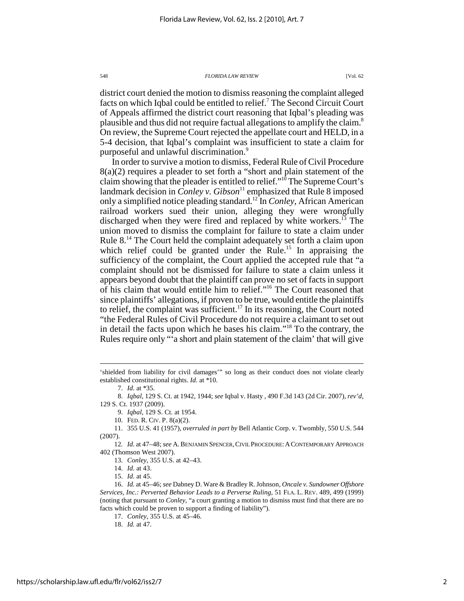district court denied the motion to dismiss reasoning the complaint alleged facts on which Iqbal could be entitled to relief.<sup>7</sup> The Second Circuit Court of Appeals affirmed the district court reasoning that Iqbal's pleading was plausible and thus did not require factual allegations to amplify the claim.<sup>8</sup> On review, the Supreme Court rejected the appellate court and HELD, in a 5-4 decision, that Iqbal's complaint was insufficient to state a claim for purposeful and unlawful discrimination.<sup>9</sup>

In order to survive a motion to dismiss, Federal Rule of Civil Procedure 8(a)(2) requires a pleader to set forth a "short and plain statement of the claim showing that the pleader is entitled to relief."<sup>10</sup> The Supreme Court's landmark decision in *Conley v. Gibson*<sup>11</sup> emphasized that Rule 8 imposed only a simplified notice pleading standard.<sup>12</sup> In *Conley*, African American railroad workers sued their union, alleging they were wrongfully discharged when they were fired and replaced by white workers.<sup>13</sup> The union moved to dismiss the complaint for failure to state a claim under Rule 8.<sup>14</sup> The Court held the complaint adequately set forth a claim upon which relief could be granted under the Rule.<sup>15</sup> In appraising the sufficiency of the complaint, the Court applied the accepted rule that "a complaint should not be dismissed for failure to state a claim unless it appears beyond doubt that the plaintiff can prove no set of facts in support of his claim that would entitle him to relief."<sup>16</sup> The Court reasoned that since plaintiffs' allegations, if proven to be true, would entitle the plaintiffs to relief, the complaint was sufficient.<sup>17</sup> In its reasoning, the Court noted "the Federal Rules of Civil Procedure do not require a claimant to set out in detail the facts upon which he bases his claim."<sup>18</sup> To the contrary, the Rules require only "'a short and plain statement of the claim' that will give

<u>.</u>

9. *Iqbal*, 129 S. Ct. at 1954.

<sup>&#</sup>x27;shielded from liability for civil damages'" so long as their conduct does not violate clearly established constitutional rights. *Id.* at \*10.

 <sup>7.</sup> *Id.* at \*35.

 <sup>8.</sup> *Iqbal*, 129 S. Ct. at 1942, 1944; *see* Iqbal v. Hasty , 490 F.3d 143 (2d Cir. 2007), *rev'd*, 129 S. Ct. 1937 (2009).

 <sup>10.</sup> FED. R. CIV. P. 8(a)(2).

 <sup>11. 355</sup> U.S. 41 (1957), *overruled in part by* Bell Atlantic Corp. v. Twombly, 550 U.S. 544 (2007).

<sup>12</sup>*. Id*. at 47–48; *see* A.BENJAMIN SPENCER,CIVIL PROCEDURE:ACONTEMPORARY APPROACH 402 (Thomson West 2007).

 <sup>13.</sup> *Conley*, 355 U.S. at 42–43.

 <sup>14.</sup> *Id.* at 43.

 <sup>15.</sup> *Id.* at 45.

 <sup>16.</sup> *Id.* at 45–46; *see* Dabney D. Ware & Bradley R. Johnson, *Oncale v. Sundowner Offshore Services, Inc.: Perverted Behavior Leads to a Perverse Ruling*, 51 FLA. L. REV. 489, 499 (1999) (noting that pursuant to *Conley*, "a court granting a motion to dismiss must find that there are no facts which could be proven to support a finding of liability").

 <sup>17.</sup> *Conley*, 355 U.S. at 45–46.

 <sup>18.</sup> *Id.* at 47.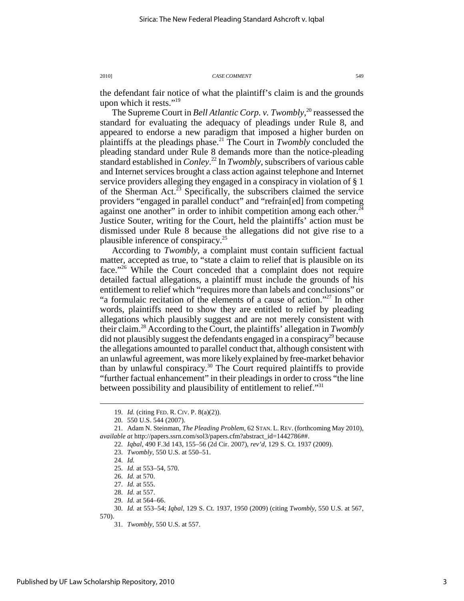the defendant fair notice of what the plaintiff's claim is and the grounds upon which it rests."<sup>19</sup>

The Supreme Court in *Bell Atlantic Corp. v. Twombly*, <sup>20</sup> reassessed the standard for evaluating the adequacy of pleadings under Rule 8, and appeared to endorse a new paradigm that imposed a higher burden on plaintiffs at the pleadings phase.<sup>21</sup> The Court in *Twombly* concluded the pleading standard under Rule 8 demands more than the notice-pleading standard established in *Conley*. <sup>22</sup> In *Twombly*, subscribers of various cable and Internet services brought a class action against telephone and Internet service providers alleging they engaged in a conspiracy in violation of § 1 of the Sherman Act.<sup>23</sup> Specifically, the subscribers claimed the service providers "engaged in parallel conduct" and "refrain[ed] from competing against one another" in order to inhibit competition among each other. $24$ Justice Souter, writing for the Court, held the plaintiffs' action must be dismissed under Rule 8 because the allegations did not give rise to a plausible inference of conspiracy.<sup>25</sup>

According to *Twombly*, a complaint must contain sufficient factual matter, accepted as true, to "state a claim to relief that is plausible on its face."<sup>26</sup> While the Court conceded that a complaint does not require detailed factual allegations, a plaintiff must include the grounds of his entitlement to relief which "requires more than labels and conclusions" or "a formulaic recitation of the elements of a cause of action."<sup>27</sup> In other words, plaintiffs need to show they are entitled to relief by pleading allegations which plausibly suggest and are not merely consistent with their claim.<sup>28</sup> According to the Court, the plaintiffs' allegation in *Twombly* did not plausibly suggest the defendants engaged in a conspiracy<sup>29</sup> because the allegations amounted to parallel conduct that, although consistent with an unlawful agreement, was more likely explained by free-market behavior than by unlawful conspiracy.<sup>30</sup> The Court required plaintiffs to provide "further factual enhancement" in their pleadings in order to cross "the line between possibility and plausibility of entitlement to relief."31

l

27. *Id.* at 555.

29. *Id.* at 564–66.

 <sup>19.</sup> *Id.* (citing FED. R. CIV. P. 8(a)(2)).

 <sup>20. 550</sup> U.S. 544 (2007).

 <sup>21.</sup> Adam N. Steinman, *The Pleading Problem*, 62 STAN. L. REV. (forthcoming May 2010), *available at* http://papers.ssrn.com/sol3/papers.cfm?abstract\_id=1442786##.

 <sup>22.</sup> *Iqbal*, 490 F.3d 143, 155–56 (2d Cir. 2007), *rev'd*, 129 S. Ct. 1937 (2009).

 <sup>23.</sup> *Twombly*, 550 U.S. at 550–51.

 <sup>24.</sup> *Id.*

 <sup>25.</sup> *Id.* at 553–54, 570.

 <sup>26.</sup> *Id.* at 570.

 <sup>28.</sup> *Id*. at 557.

 <sup>30.</sup> *Id.* at 553–54; *Iqbal*, 129 S. Ct. 1937, 1950 (2009) (citing *Twombly*, 550 U.S. at 567, 570).

 <sup>31.</sup> *Twombly*, 550 U.S. at 557.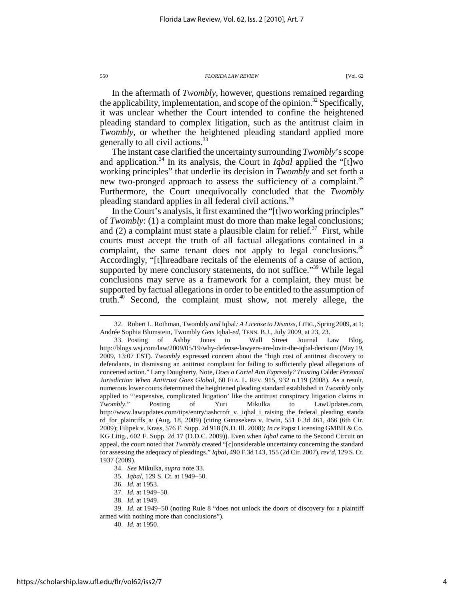In the aftermath of *Twombly*, however, questions remained regarding the applicability, implementation, and scope of the opinion.<sup>32</sup> Specifically, it was unclear whether the Court intended to confine the heightened pleading standard to complex litigation, such as the antitrust claim in *Twombly*, or whether the heightened pleading standard applied more generally to all civil actions.<sup>33</sup>

The instant case clarified the uncertainty surrounding *Twombly*'s scope and application.<sup>34</sup> In its analysis, the Court in *Iqbal* applied the "[t]wo working principles" that underlie its decision in *Twombly* and set forth a new two-pronged approach to assess the sufficiency of a complaint.<sup>35</sup> Furthermore, the Court unequivocally concluded that the *Twombly* pleading standard applies in all federal civil actions.<sup>36</sup>

In the Court's analysis, it first examined the "[t]wo working principles" of *Twombly*: (1) a complaint must do more than make legal conclusions; and (2) a complaint must state a plausible claim for relief.<sup>37</sup> First, while courts must accept the truth of all factual allegations contained in a complaint, the same tenant does not apply to legal conclusions.<sup>38</sup> Accordingly, "[t]hreadbare recitals of the elements of a cause of action, supported by mere conclusory statements, do not suffice."<sup>39</sup> While legal conclusions may serve as a framework for a complaint, they must be supported by factual allegations in order to be entitled to the assumption of truth.<sup>40</sup> Second, the complaint must show, not merely allege, the

 <sup>32.</sup> Robert L. Rothman, Twombly *and* Iqbal*: A License to Dismiss*, LITIG.,Spring 2009, at 1; Andrée Sophia Blumstein, Twombly *Gets* Iqbal*-ed*, TENN. B.J., July 2009, at 23, 23.

 <sup>33.</sup> Posting of Ashby Jones to Wall Street Journal Law Blog, http://blogs.wsj.com/law/2009/05/19/why-defense-lawyers-are-lovin-the-iqbal-decision/ (May 19, 2009, 13:07 EST). *Twombly* expressed concern about the "high cost of antitrust discovery to defendants, in dismissing an antitrust complaint for failing to sufficiently plead allegations of concerted action." Larry Dougherty, Note, *Does a Cartel Aim Expressly? Trusting* Calder *Personal Jurisdiction When Antitrust Goes Global*, 60 FLA. L. REV. 915, 932 n.119 (2008). As a result, numerous lower courts determined the heightened pleading standard established in *Twombly* only applied to "'expensive, complicated litigation' like the antitrust conspiracy litigation claims in *Twombly*." Posting of Yuri Mikulka to LawUpdates.com, http://www.lawupdates.com/tips/entry/iashcroft\_v.\_iqbal\_i\_raising\_the\_federal\_pleading\_standa rd\_for\_plaintiffs\_a/ (Aug. 18, 2009) (citing Gunasekera v. Irwin, 551 F.3d 461, 466 (6th Cir. 2009); Filipek v. Krass, 576 F. Supp. 2d 918 (N.D. Ill. 2008); *In re* Papst Licensing GMBH & Co. KG Litig., 602 F. Supp. 2d 17 (D.D.C. 2009)). Even when *Iqbal* came to the Second Circuit on appeal, the court noted that *Twombly* created "[c]onsiderable uncertainty concerning the standard for assessing the adequacy of pleadings." *Iqbal*, 490 F.3d 143, 155 (2d Cir. 2007), *rev'd*, 129 S. Ct. 1937 (2009).

 <sup>34.</sup> *See* Mikulka, *supra* note 33.

 <sup>35.</sup> *Iqbal*, 129 S. Ct. at 1949–50.

 <sup>36.</sup> *Id.* at 1953.

 <sup>37.</sup> *Id.* at 1949–50.

 <sup>38.</sup> *Id.* at 1949.

 <sup>39.</sup> *Id.* at 1949–50 (noting Rule 8 "does not unlock the doors of discovery for a plaintiff armed with nothing more than conclusions").

 <sup>40.</sup> *Id.* at 1950.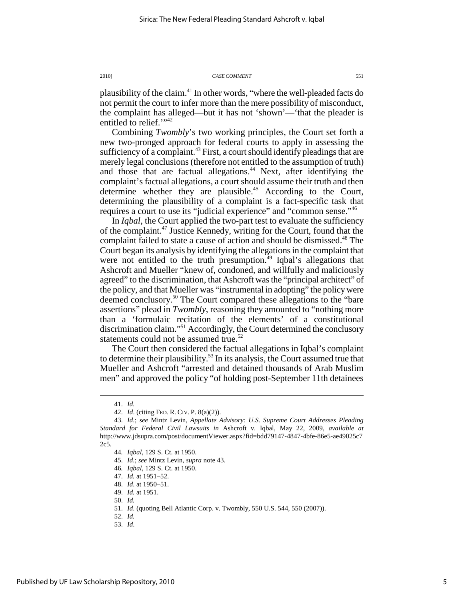plausibility of the claim.<sup>41</sup> In other words, "where the well-pleaded facts do not permit the court to infer more than the mere possibility of misconduct, the complaint has alleged—but it has not 'shown'—'that the pleader is entitled to relief."<sup>42</sup>

Combining *Twombly*'s two working principles, the Court set forth a new two-pronged approach for federal courts to apply in assessing the sufficiency of a complaint.<sup>43</sup> First, a court should identify pleadings that are merely legal conclusions (therefore not entitled to the assumption of truth) and those that are factual allegations.<sup>44</sup> Next, after identifying the complaint's factual allegations, a court should assume their truth and then determine whether they are plausible.<sup>45</sup> According to the Court, determining the plausibility of a complaint is a fact-specific task that requires a court to use its "judicial experience" and "common sense."<sup>46</sup>

In *Iqbal*, the Court applied the two-part test to evaluate the sufficiency of the complaint.<sup>47</sup> Justice Kennedy, writing for the Court, found that the complaint failed to state a cause of action and should be dismissed.<sup>48</sup> The Court began its analysis by identifying the allegations in the complaint that were not entitled to the truth presumption.<sup> $49$ </sup> Iqbal's allegations that Ashcroft and Mueller "knew of, condoned, and willfully and maliciously agreed" to the discrimination, that Ashcroft was the "principal architect" of the policy, and that Mueller was "instrumental in adopting" the policy were deemed conclusory.<sup>50</sup> The Court compared these allegations to the "bare assertions" plead in *Twombly*, reasoning they amounted to "nothing more than a 'formulaic recitation of the elements' of a constitutional discrimination claim."<sup>51</sup> Accordingly, the Court determined the conclusory statements could not be assumed true.<sup>52</sup>

The Court then considered the factual allegations in Iqbal's complaint to determine their plausibility.<sup>53</sup> In its analysis, the Court assumed true that Mueller and Ashcroft "arrested and detained thousands of Arab Muslim men" and approved the policy "of holding post-September 11th detainees

 <sup>41.</sup> *Id.*

 <sup>42.</sup> *Id*. (citing FED. R. CIV. P. 8(a)(2)).

 <sup>43.</sup> *Id*.; *see* Mintz Levin, *Appellate Advisory: U.S. Supreme Court Addresses Pleading Standard for Federal Civil Lawsuits in* Ashcroft v. Iqbal, May 22, 2009, *available at* http://www.jdsupra.com/post/documentViewer.aspx?fid=bdd79147-4847-4bfe-86e5-ae49025c7 2c5.

<sup>44</sup>*. Iqbal*, 129 S. Ct. at 1950.

 <sup>45.</sup> *Id*.; *see* Mintz Levin, *supra* note 43.

<sup>46</sup>*. Iqbal*, 129 S. Ct. at 1950.

 <sup>47.</sup> *Id.* at 1951–52.

 <sup>48.</sup> *Id*. at 1950–51.

 <sup>49.</sup> *Id.* at 1951.

 <sup>50.</sup> *Id.*

 <sup>51.</sup> *Id*. (quoting Bell Atlantic Corp. v. Twombly, 550 U.S. 544, 550 (2007)).

 <sup>52.</sup> *Id.*

 <sup>53.</sup> *Id*.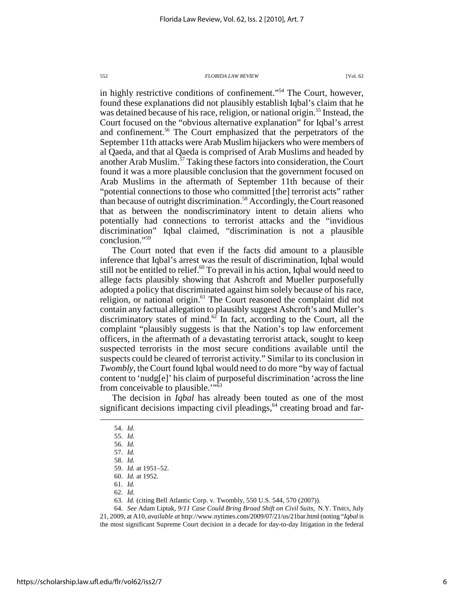in highly restrictive conditions of confinement."<sup>54</sup> The Court, however, found these explanations did not plausibly establish Iqbal's claim that he was detained because of his race, religion, or national origin.<sup>55</sup> Instead, the Court focused on the "obvious alternative explanation" for Iqbal's arrest and confinement.<sup>56</sup> The Court emphasized that the perpetrators of the September 11th attacks were Arab Muslim hijackers who were members of al Qaeda, and that al Qaeda is comprised of Arab Muslims and headed by another Arab Muslim.<sup>57</sup> Taking these factors into consideration, the Court found it was a more plausible conclusion that the government focused on Arab Muslims in the aftermath of September 11th because of their "potential connections to those who committed [the] terrorist acts" rather than because of outright discrimination.<sup>58</sup> Accordingly, the Court reasoned that as between the nondiscriminatory intent to detain aliens who potentially had connections to terrorist attacks and the "invidious discrimination" Iqbal claimed, "discrimination is not a plausible conclusion."<sup>59</sup>

The Court noted that even if the facts did amount to a plausible inference that Iqbal's arrest was the result of discrimination, Iqbal would still not be entitled to relief. $60$  To prevail in his action, Iqbal would need to allege facts plausibly showing that Ashcroft and Mueller purposefully adopted a policy that discriminated against him solely because of his race, religion, or national origin.<sup>61</sup> The Court reasoned the complaint did not contain any factual allegation to plausibly suggest Ashcroft's and Muller's discriminatory states of mind.<sup>62</sup> In fact, according to the Court, all the complaint "plausibly suggests is that the Nation's top law enforcement officers, in the aftermath of a devastating terrorist attack, sought to keep suspected terrorists in the most secure conditions available until the suspects could be cleared of terrorist activity." Similar to its conclusion in *Twombly*, the Court found Iqbal would need to do more "by way of factual content to 'nudg[e]' his claim of purposeful discrimination 'across the line from conceivable to plausible."<sup>53</sup>

The decision in *Iqbal* has already been touted as one of the most significant decisions impacting civil pleadings, $64$  creating broad and far-

<u>.</u>

60. *Id.* at 1952.

62. *Id*.

 64. *See* Adam Liptak, *9/11 Case Could Bring Broad Shift on Civil Suits*, N.Y. TIMES, July 21, 2009, at A10, *available at* http://www.nytimes.com/2009/07/21/us/21bar.html (noting "*Iqbal* is

the most significant Supreme Court decision in a decade for day-to-day litigation in the federal

 <sup>54.</sup> *Id.* 

 <sup>55.</sup> *Id.* 

 <sup>56.</sup> *Id.*

 <sup>57.</sup> *Id.*

 <sup>58.</sup> *Id.*

 <sup>59.</sup> *Id.* at 1951–52.

 <sup>61.</sup> *Id.*

 <sup>63.</sup> *Id.* (citing Bell Atlantic Corp. v. Twombly, 550 U.S. 544, 570 (2007)).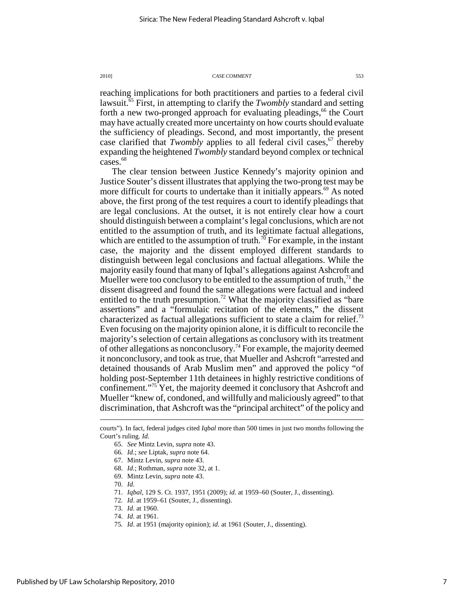reaching implications for both practitioners and parties to a federal civil lawsuit.<sup>65</sup> First, in attempting to clarify the *Twombly* standard and setting forth a new two-pronged approach for evaluating pleadings,<sup>66</sup> the Court may have actually created more uncertainty on how courts should evaluate the sufficiency of pleadings. Second, and most importantly, the present case clarified that *Twombly* applies to all federal civil cases,<sup>67</sup> thereby expanding the heightened *Twombly* standard beyond complex or technical cases.<sup>68</sup>

The clear tension between Justice Kennedy's majority opinion and Justice Souter's dissent illustrates that applying the two-prong test may be more difficult for courts to undertake than it initially appears.<sup>69</sup> As noted above, the first prong of the test requires a court to identify pleadings that are legal conclusions. At the outset, it is not entirely clear how a court should distinguish between a complaint's legal conclusions, which are not entitled to the assumption of truth, and its legitimate factual allegations, which are entitled to the assumption of truth.<sup>70</sup> For example, in the instant case, the majority and the dissent employed different standards to distinguish between legal conclusions and factual allegations. While the majority easily found that many of Iqbal's allegations against Ashcroft and Mueller were too conclusory to be entitled to the assumption of truth,  $^{71}$  the dissent disagreed and found the same allegations were factual and indeed entitled to the truth presumption.<sup>72</sup> What the majority classified as "bare" assertions" and a "formulaic recitation of the elements," the dissent characterized as factual allegations sufficient to state a claim for relief.<sup>73</sup> Even focusing on the majority opinion alone, it is difficult to reconcile the majority's selection of certain allegations as conclusory with its treatment of other allegations as nonconclusory.<sup>74</sup> For example, the majority deemed it nonconclusory, and took as true, that Mueller and Ashcroft "arrested and detained thousands of Arab Muslim men" and approved the policy "of holding post-September 11th detainees in highly restrictive conditions of confinement."<sup>75</sup> Yet, the majority deemed it conclusory that Ashcroft and Mueller "knew of, condoned, and willfully and maliciously agreed" to that discrimination, that Ashcroft was the "principal architect" of the policy and

- 69. Mintz Levin, *supra* note 43.
- 70. *Id.*

- 71. *Iqbal*, 129 S. Ct. 1937, 1951 (2009); *id.* at 1959–60 (Souter, J., dissenting).
- 72*. Id*. at 1959–61 (Souter, J., dissenting).
- 73. *Id.* at 1960.
- 74. *Id.* at 1961.
- 75*. Id*. at 1951 (majority opinion); *id.* at 1961 (Souter, J., dissenting).

courts"). In fact, federal judges cited *Iqbal* more than 500 times in just two months following the Court's ruling. *Id.*

 <sup>65.</sup> *See* Mintz Levin, *supra* note 43.

<sup>66</sup>*. Id*.; *see* Liptak, *supra* note 64.

 <sup>67.</sup> Mintz Levin, *supra* note 43.

 <sup>68.</sup> *Id.*; Rothman, *supra* note 32, at 1.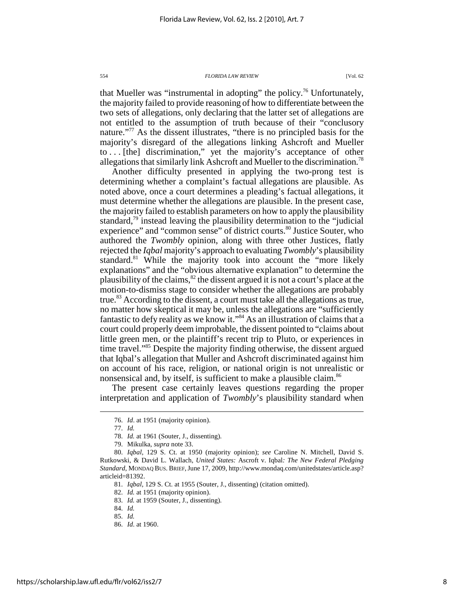that Mueller was "instrumental in adopting" the policy.<sup>76</sup> Unfortunately, the majority failed to provide reasoning of how to differentiate between the two sets of allegations, only declaring that the latter set of allegations are not entitled to the assumption of truth because of their "conclusory nature."<sup>77</sup> As the dissent illustrates, "there is no principled basis for the majority's disregard of the allegations linking Ashcroft and Mueller to . . . [the] discrimination," yet the majority's acceptance of other allegations that similarly link Ashcroft and Mueller to the discrimination.<sup>78</sup>

Another difficulty presented in applying the two-prong test is determining whether a complaint's factual allegations are plausible. As noted above, once a court determines a pleading's factual allegations, it must determine whether the allegations are plausible. In the present case, the majority failed to establish parameters on how to apply the plausibility standard, $\frac{79}{9}$  instead leaving the plausibility determination to the "judicial experience" and "common sense" of district courts.<sup>80</sup> Justice Souter, who authored the *Twombly* opinion, along with three other Justices, flatly rejected the *Iqbal* majority's approach to evaluating *Twombly*'s plausibility standard.<sup>81</sup> While the majority took into account the "more likely explanations" and the "obvious alternative explanation" to determine the plausibility of the claims,  $82$  the dissent argued it is not a court's place at the motion-to-dismiss stage to consider whether the allegations are probably true.<sup>83</sup> According to the dissent, a court must take all the allegations as true, no matter how skeptical it may be, unless the allegations are "sufficiently fantastic to defy reality as we know it."<sup>84</sup> As an illustration of claims that a court could properly deem improbable, the dissent pointed to "claims about little green men, or the plaintiff's recent trip to Pluto, or experiences in time travel."<sup>85</sup> Despite the majority finding otherwise, the dissent argued that Iqbal's allegation that Muller and Ashcroft discriminated against him on account of his race, religion, or national origin is not unrealistic or nonsensical and, by itself, is sufficient to make a plausible claim.<sup>86</sup>

The present case certainly leaves questions regarding the proper interpretation and application of *Twombly*'s plausibility standard when

 <sup>76.</sup> *Id*. at 1951 (majority opinion).

 <sup>77.</sup> *Id.*

 <sup>78.</sup> *Id.* at 1961 (Souter, J., dissenting).

 <sup>79.</sup> Mikulka, *supra* note 33.

 <sup>80.</sup> *Iqbal*, 129 S. Ct. at 1950 (majority opinion); *see* Caroline N. Mitchell, David S. Rutkowski, & David L. Wallach, *United States:* Ascroft v. Iqbal*: The New Federal Pledging Standard*, MONDAQ BUS. BRIEF,June 17, 2009, http://www.mondaq.com/unitedstates/article.asp? articleid=81392.

 <sup>81.</sup> *Iqbal*, 129 S. Ct. at 1955 (Souter, J., dissenting) (citation omitted).

 <sup>82.</sup> *Id.* at 1951 (majority opinion).

 <sup>83.</sup> *Id.* at 1959 (Souter, J., dissenting).

 <sup>84.</sup> *Id.*

 <sup>85.</sup> *Id.*

 <sup>86.</sup> *Id*. at 1960.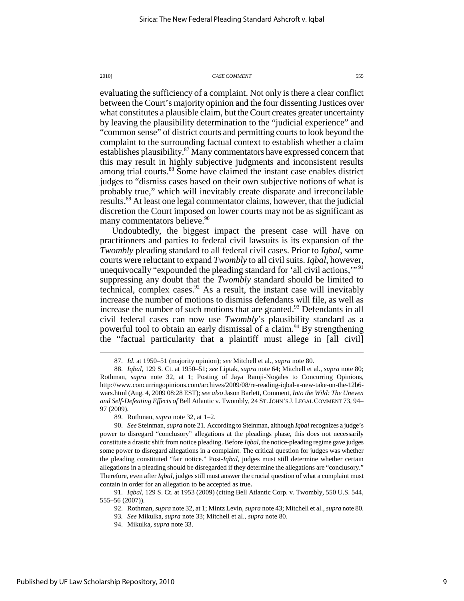evaluating the sufficiency of a complaint. Not only is there a clear conflict between the Court's majority opinion and the four dissenting Justices over what constitutes a plausible claim, but the Court creates greater uncertainty by leaving the plausibility determination to the "judicial experience" and "common sense" of district courts and permitting courts to look beyond the complaint to the surrounding factual context to establish whether a claim establishes plausibility.<sup>87</sup> Many commentators have expressed concern that this may result in highly subjective judgments and inconsistent results among trial courts.<sup>88</sup> Some have claimed the instant case enables district judges to "dismiss cases based on their own subjective notions of what is probably true," which will inevitably create disparate and irreconcilable results.<sup>89</sup> At least one legal commentator claims, however, that the judicial discretion the Court imposed on lower courts may not be as significant as many commentators believe.<sup>90</sup>

Undoubtedly, the biggest impact the present case will have on practitioners and parties to federal civil lawsuits is its expansion of the *Twombly* pleading standard to all federal civil cases. Prior to *Iqbal*, some courts were reluctant to expand *Twombly* to all civil suits. *Iqbal*, however, unequivocally "expounded the pleading standard for 'all civil actions,"<sup>91</sup> suppressing any doubt that the *Twombly* standard should be limited to technical, complex cases.<sup>92</sup> As a result, the instant case will inevitably increase the number of motions to dismiss defendants will file, as well as increase the number of such motions that are granted. $93$  Defendants in all civil federal cases can now use *Twombly*'s plausibility standard as a powerful tool to obtain an early dismissal of a claim.<sup>94</sup> By strengthening the "factual particularity that a plaintiff must allege in [all civil]

Published by UF Law Scholarship Repository, 2010

 $\overline{a}$ 

 <sup>87.</sup> *Id.* at 1950–51 (majority opinion); *see* Mitchell et al., *supra* note 80.

 <sup>88.</sup> *Iqbal*, 129 S. Ct. at 1950–51; *see* Liptak, *supra* note 64; Mitchell et al., *supra* note 80; Rothman, *supra* note 32, at 1; Posting of Jaya Ramji-Nogales to Concurring Opinions, http://www.concurringopinions.com/archives/2009/08/re-reading-iqbal-a-new-take-on-the-12b6 wars.html (Aug. 4, 2009 08:28 EST); *see also* Jason Barlett, Comment, *Into the Wild: The Uneven and Self-Defeating Effects of* Bell Atlantic v. Twombly, 24 ST.JOHN'S J. LEGAL COMMENT 73, 94– 97 (2009).

 <sup>89.</sup> Rothman, *supra* note 32, at 1–2.

 <sup>90.</sup> *See* Steinman, *supra* note 21. According to Steinman, although *Iqbal* recognizes a judge's power to disregard "conclusory" allegations at the pleadings phase, this does not necessarily constitute a drastic shift from notice pleading. Before *Iqbal*, the notice-pleading regime gave judges some power to disregard allegations in a complaint. The critical question for judges was whether the pleading constituted "fair notice." Post-*Iqbal*, judges must still determine whether certain allegations in a pleading should be disregarded if they determine the allegations are "conclusory." Therefore, even after *Iqbal*, judges still must answer the crucial question of what a complaint must contain in order for an allegation to be accepted as true.

 <sup>91.</sup> *Iqbal*, 129 S. Ct. at 1953 (2009) (citing Bell Atlantic Corp. v. Twombly, 550 U.S. 544, 555–56 (2007)).

 <sup>92.</sup> Rothman, *supra* note 32, at 1; Mintz Levin, *supra* note 43; Mitchell et al., *supra* note 80.

<sup>93</sup>*. See* Mikulka, *supra* note 33; Mitchell et al., *supra* note 80.

 <sup>94.</sup> Mikulka, *supra* note 33.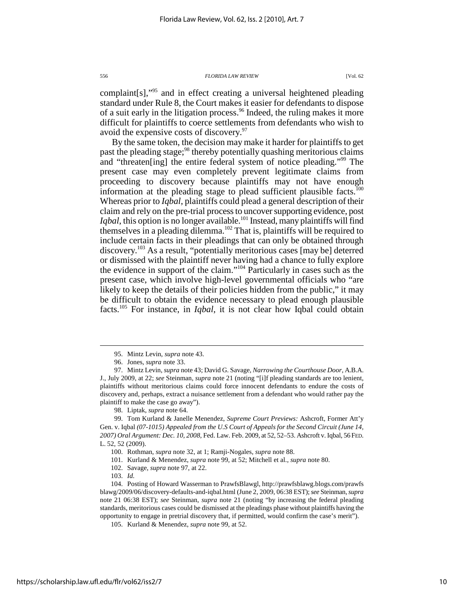complaint[s],"<sup>95</sup> and in effect creating a universal heightened pleading standard under Rule 8, the Court makes it easier for defendants to dispose of a suit early in the litigation process.<sup>96</sup> Indeed, the ruling makes it more difficult for plaintiffs to coerce settlements from defendants who wish to avoid the expensive costs of discovery.<sup>97</sup>

By the same token, the decision may make it harder for plaintiffs to get past the pleading stage;<sup>98</sup> thereby potentially quashing meritorious claims and "threaten[ing] the entire federal system of notice pleading."<sup>99</sup> The present case may even completely prevent legitimate claims from proceeding to discovery because plaintiffs may not have enough information at the pleading stage to plead sufficient plausible facts.<sup>100</sup> Whereas prior to *Iqbal*, plaintiffs could plead a general description of their claim and rely on the pre-trial process to uncover supporting evidence, post *Iqbal*, this option is no longer available.<sup>101</sup> Instead, many plaintiffs will find themselves in a pleading dilemma.<sup>102</sup> That is, plaintiffs will be required to include certain facts in their pleadings that can only be obtained through discovery.<sup>103</sup> As a result, "potentially meritorious cases [may be] deterred or dismissed with the plaintiff never having had a chance to fully explore the evidence in support of the claim."<sup>104</sup> Particularly in cases such as the present case, which involve high-level governmental officials who "are likely to keep the details of their policies hidden from the public," it may be difficult to obtain the evidence necessary to plead enough plausible facts.<sup>105</sup> For instance, in *Iqbal*, it is not clear how Iqbal could obtain

98. Liptak, *supra* note 64.

 99. Tom Kurland & Janelle Menendez, *Supreme Court Previews:* Ashcroft, Former Att'y Gen. v. Iqbal *(07-1015) Appealed from the U.S Court of Appeals for the Second Circuit (June 14, 2007) Oral Argument: Dec. 10, 2008*, Fed. Law. Feb. 2009, at 52, 52–53. Ashcroft v. Iqbal, 56 FED. L. 52, 52 (2009).

101. Kurland & Menendez, *supra* note 99, at 52; Mitchell et al., *supra* note 80.

<u>.</u>

 104. Posting of Howard Wasserman to PrawfsBlawgl, http://prawfsblawg.blogs.com/prawfs blawg/2009/06/discovery-defaults-and-iqbal.html (June 2, 2009, 06:38 EST); *see* Steinman, *supra* note 21 06:38 EST); *see* Steinman, *supra* note 21 (noting "by increasing the federal pleading standards, meritorious cases could be dismissed at the pleadings phase without plaintiffs having the opportunity to engage in pretrial discovery that, if permitted, would confirm the case's merit").

 <sup>95.</sup> Mintz Levin, *supra* note 43.

 <sup>96.</sup> Jones, *supra* note 33.

 <sup>97.</sup> Mintz Levin, *supra* note 43; David G. Savage, *Narrowing the Courthouse Door*, A.B.A. J., July 2009, at 22; *see* Steinman, *supra* note 21 (noting "[i]f pleading standards are too lenient, plaintiffs without meritorious claims could force innocent defendants to endure the costs of discovery and, perhaps, extract a nuisance settlement from a defendant who would rather pay the plaintiff to make the case go away").

 <sup>100.</sup> Rothman, *supra* note 32, at 1; Ramji-Nogales, *supra* note 88.

 <sup>102.</sup> Savage, *supra* note 97, at 22.

 <sup>103.</sup> *Id.*

 <sup>105.</sup> Kurland & Menendez, *supra* note 99, at 52.